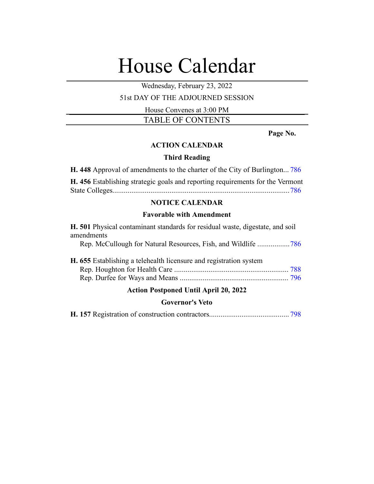# House Calendar

Wednesday, February 23, 2022

## 51st DAY OF THE ADJOURNED SESSION

House Convenes at 3:00 PM

TABLE OF CONTENTS

**Page No.**

# **ACTION CALENDAR**

#### **Third Reading**

**H. 448** Approval of amendments to the charter of the City of Burlington... [786](#page-1-0)

**H. 456** Establishing strategic goals and reporting requirements for the Vermont State Colleges.............................................................................................[786](#page-1-1)

# **NOTICE CALENDAR**

#### **Favorable with Amendment**

| H. 501 Physical contaminant standards for residual waste, digestate, and soil |
|-------------------------------------------------------------------------------|
| amendments                                                                    |
|                                                                               |
| H. 655 Establishing a telehealth licensure and registration system            |
|                                                                               |
|                                                                               |
| <b>Action Postponed Until April 20, 2022</b>                                  |
| <b>Governor's Veto</b>                                                        |

**H. 157** Registration of construction contractors.......................................... [798](#page-13-0)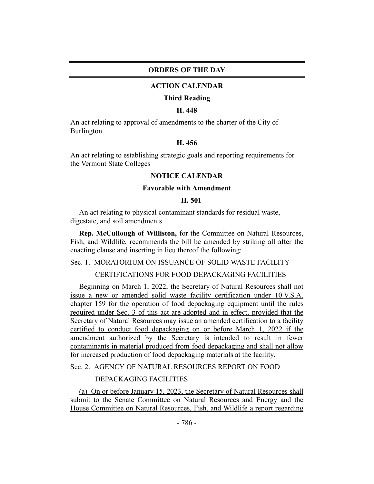#### **ORDERS OF THE DAY**

#### **ACTION CALENDAR**

#### **Third Reading**

#### **H. 448**

<span id="page-1-0"></span>An act relating to approval of amendments to the charter of the City of Burlington

# **H. 456**

<span id="page-1-1"></span>An act relating to establishing strategic goals and reporting requirements for the Vermont State Colleges

#### **NOTICE CALENDAR**

## **Favorable with Amendment**

#### **H. 501**

<span id="page-1-2"></span>An act relating to physical contaminant standards for residual waste, digestate, and soil amendments

**Rep. McCullough of Williston,** for the Committee on Natural Resources, Fish, and Wildlife, recommends the bill be amended by striking all after the enacting clause and inserting in lieu thereof the following:

Sec. 1. MORATORIUM ON ISSUANCE OF SOLID WASTE FACILITY

CERTIFICATIONS FOR FOOD DEPACKAGING FACILITIES

Beginning on March 1, 2022, the Secretary of Natural Resources shall not issue a new or amended solid waste facility certification under 10 V.S.A. chapter 159 for the operation of food depackaging equipment until the rules required under Sec. 3 of this act are adopted and in effect, provided that the Secretary of Natural Resources may issue an amended certification to a facility certified to conduct food depackaging on or before March 1, 2022 if the amendment authorized by the Secretary is intended to result in fewer contaminants in material produced from food depackaging and shall not allow for increased production of food depackaging materials at the facility.

Sec. 2. AGENCY OF NATURAL RESOURCES REPORT ON FOOD

#### DEPACKAGING FACILITIES

(a) On or before January 15, 2023, the Secretary of Natural Resources shall submit to the Senate Committee on Natural Resources and Energy and the House Committee on Natural Resources, Fish, and Wildlife a report regarding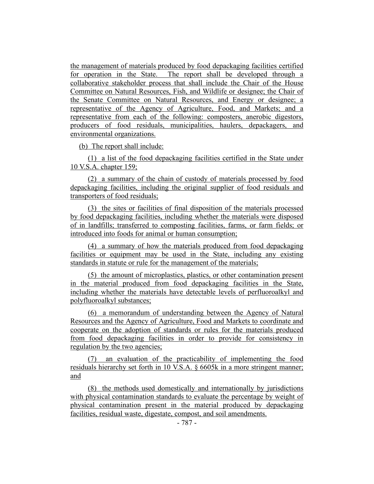the management of materials produced by food depackaging facilities certified for operation in the State. The report shall be developed through a collaborative stakeholder process that shall include the Chair of the House Committee on Natural Resources, Fish, and Wildlife or designee; the Chair of the Senate Committee on Natural Resources, and Energy or designee; a representative of the Agency of Agriculture, Food, and Markets; and a representative from each of the following: composters, anerobic digestors, producers of food residuals, municipalities, haulers, depackagers, and environmental organizations.

(b) The report shall include:

(1) a list of the food depackaging facilities certified in the State under 10 V.S.A. chapter 159;

(2) a summary of the chain of custody of materials processed by food depackaging facilities, including the original supplier of food residuals and transporters of food residuals;

(3) the sites or facilities of final disposition of the materials processed by food depackaging facilities, including whether the materials were disposed of in landfills; transferred to composting facilities, farms, or farm fields; or introduced into foods for animal or human consumption;

(4) a summary of how the materials produced from food depackaging facilities or equipment may be used in the State, including any existing standards in statute or rule for the management of the materials;

(5) the amount of microplastics, plastics, or other contamination present in the material produced from food depackaging facilities in the State, including whether the materials have detectable levels of perfluoroalkyl and polyfluoroalkyl substances;

(6) a memorandum of understanding between the Agency of Natural Resources and the Agency of Agriculture, Food and Markets to coordinate and cooperate on the adoption of standards or rules for the materials produced from food depackaging facilities in order to provide for consistency in regulation by the two agencies;

(7) an evaluation of the practicability of implementing the food residuals hierarchy set forth in 10 V.S.A. § 6605k in a more stringent manner; and

(8) the methods used domestically and internationally by jurisdictions with physical contamination standards to evaluate the percentage by weight of physical contamination present in the material produced by depackaging facilities, residual waste, digestate, compost, and soil amendments.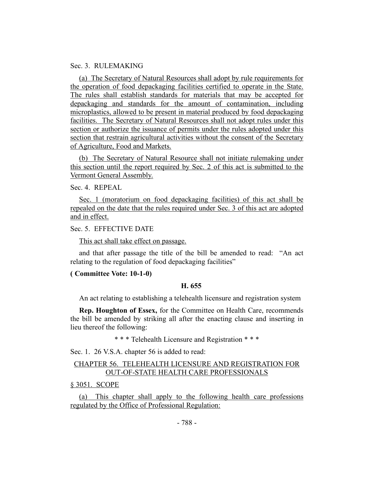#### Sec. 3. RULEMAKING

(a) The Secretary of Natural Resources shall adopt by rule requirements for the operation of food depackaging facilities certified to operate in the State. The rules shall establish standards for materials that may be accepted for depackaging and standards for the amount of contamination, including microplastics, allowed to be present in material produced by food depackaging facilities. The Secretary of Natural Resources shall not adopt rules under this section or authorize the issuance of permits under the rules adopted under this section that restrain agricultural activities without the consent of the Secretary of Agriculture, Food and Markets.

(b) The Secretary of Natural Resource shall not initiate rulemaking under this section until the report required by Sec. 2 of this act is submitted to the Vermont General Assembly.

Sec. 4. REPEAL

Sec. 1 (moratorium on food depackaging facilities) of this act shall be repealed on the date that the rules required under Sec. 3 of this act are adopted and in effect.

Sec. 5. EFFECTIVE DATE

This act shall take effect on passage.

and that after passage the title of the bill be amended to read: "An act relating to the regulation of food depackaging facilities"

#### <span id="page-3-0"></span>**( Committee Vote: 10-1-0)**

#### **H. 655**

An act relating to establishing a telehealth licensure and registration system

**Rep. Houghton of Essex,** for the Committee on Health Care, recommends the bill be amended by striking all after the enacting clause and inserting in lieu thereof the following:

\* \* \* Telehealth Licensure and Registration \* \* \*

Sec. 1. 26 V.S.A. chapter 56 is added to read:

# CHAPTER 56. TELEHEALTH LICENSURE AND REGISTRATION FOR OUT-OF-STATE HEALTH CARE PROFESSIONALS

§ 3051. SCOPE

(a) This chapter shall apply to the following health care professions regulated by the Office of Professional Regulation: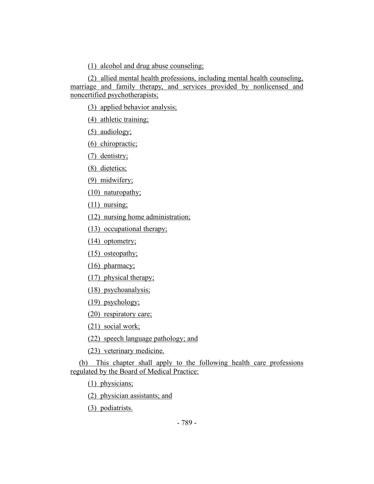(1) alcohol and drug abuse counseling;

(2) allied mental health professions, including mental health counseling, marriage and family therapy, and services provided by nonlicensed and noncertified psychotherapists;

(3) applied behavior analysis;

(4) athletic training;

(5) audiology;

(6) chiropractic;

(7) dentistry;

(8) dietetics;

(9) midwifery;

(10) naturopathy;

 $(11)$  nursing;

(12) nursing home administration;

(13) occupational therapy;

(14) optometry;

(15) osteopathy;

(16) pharmacy;

(17) physical therapy;

(18) psychoanalysis;

(19) psychology;

(20) respiratory care;

(21) social work;

(22) speech language pathology; and

(23) veterinary medicine.

(b) This chapter shall apply to the following health care professions regulated by the Board of Medical Practice:

(1) physicians;

(2) physician assistants; and

(3) podiatrists.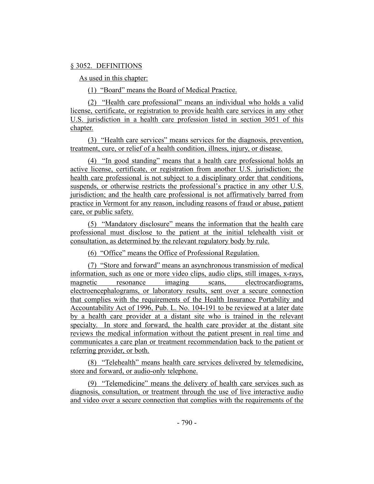#### § 3052. DEFINITIONS

As used in this chapter:

(1) "Board" means the Board of Medical Practice.

(2) "Health care professional" means an individual who holds a valid license, certificate, or registration to provide health care services in any other U.S. jurisdiction in a health care profession listed in section 3051 of this chapter.

(3) "Health care services" means services for the diagnosis, prevention, treatment, cure, or relief of a health condition, illness, injury, or disease.

(4) "In good standing" means that a health care professional holds an active license, certificate, or registration from another U.S. jurisdiction; the health care professional is not subject to a disciplinary order that conditions, suspends, or otherwise restricts the professional's practice in any other U.S. jurisdiction; and the health care professional is not affirmatively barred from practice in Vermont for any reason, including reasons of fraud or abuse, patient care, or public safety.

(5) "Mandatory disclosure" means the information that the health care professional must disclose to the patient at the initial telehealth visit or consultation, as determined by the relevant regulatory body by rule.

(6) "Office" means the Office of Professional Regulation.

(7) "Store and forward" means an asynchronous transmission of medical information, such as one or more video clips, audio clips, still images, x-rays, magnetic resonance imaging scans, electrocardiograms, electroencephalograms, or laboratory results, sent over a secure connection that complies with the requirements of the Health Insurance Portability and Accountability Act of 1996, Pub. L. No. 104-191 to be reviewed at a later date by a health care provider at a distant site who is trained in the relevant specialty. In store and forward, the health care provider at the distant site reviews the medical information without the patient present in real time and communicates a care plan or treatment recommendation back to the patient or referring provider, or both.

(8) "Telehealth" means health care services delivered by telemedicine, store and forward, or audio-only telephone.

(9) "Telemedicine" means the delivery of health care services such as diagnosis, consultation, or treatment through the use of live interactive audio and video over a secure connection that complies with the requirements of the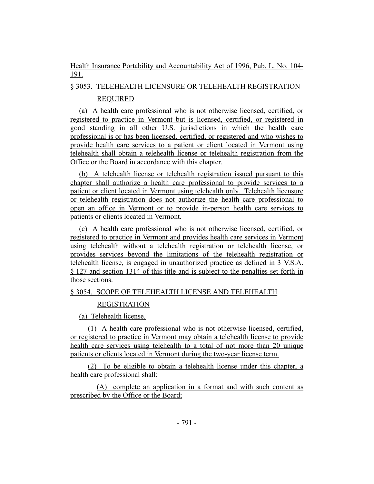# Health Insurance Portability and Accountability Act of 1996, Pub. L. No. 104- 191.

# § 3053. TELEHEALTH LICENSURE OR TELEHEALTH REGISTRATION REQUIRED

(a) A health care professional who is not otherwise licensed, certified, or registered to practice in Vermont but is licensed, certified, or registered in good standing in all other U.S. jurisdictions in which the health care professional is or has been licensed, certified, or registered and who wishes to provide health care services to a patient or client located in Vermont using telehealth shall obtain a telehealth license or telehealth registration from the Office or the Board in accordance with this chapter.

(b) A telehealth license or telehealth registration issued pursuant to this chapter shall authorize a health care professional to provide services to a patient or client located in Vermont using telehealth only. Telehealth licensure or telehealth registration does not authorize the health care professional to open an office in Vermont or to provide in-person health care services to patients or clients located in Vermont.

(c) A health care professional who is not otherwise licensed, certified, or registered to practice in Vermont and provides health care services in Vermont using telehealth without a telehealth registration or telehealth license, or provides services beyond the limitations of the telehealth registration or telehealth license, is engaged in unauthorized practice as defined in 3 V.S.A. § 127 and section 1314 of this title and is subject to the penalties set forth in those sections.

# § 3054. SCOPE OF TELEHEALTH LICENSE AND TELEHEALTH

# REGISTRATION

(a) Telehealth license.

(1) A health care professional who is not otherwise licensed, certified, or registered to practice in Vermont may obtain a telehealth license to provide health care services using telehealth to a total of not more than 20 unique patients or clients located in Vermont during the two-year license term.

(2) To be eligible to obtain a telehealth license under this chapter, a health care professional shall:

(A) complete an application in a format and with such content as prescribed by the Office or the Board;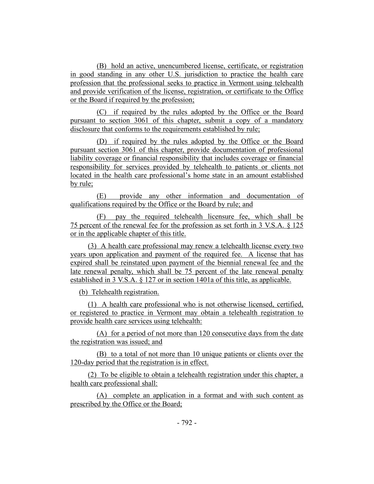(B) hold an active, unencumbered license, certificate, or registration in good standing in any other U.S. jurisdiction to practice the health care profession that the professional seeks to practice in Vermont using telehealth and provide verification of the license, registration, or certificate to the Office or the Board if required by the profession;

(C) if required by the rules adopted by the Office or the Board pursuant to section 3061 of this chapter, submit a copy of a mandatory disclosure that conforms to the requirements established by rule;

(D) if required by the rules adopted by the Office or the Board pursuant section 3061 of this chapter, provide documentation of professional liability coverage or financial responsibility that includes coverage or financial responsibility for services provided by telehealth to patients or clients not located in the health care professional's home state in an amount established by rule;

(E) provide any other information and documentation of qualifications required by the Office or the Board by rule; and

(F) pay the required telehealth licensure fee, which shall be 75 percent of the renewal fee for the profession as set forth in 3 V.S.A. § 125 or in the applicable chapter of this title.

(3) A health care professional may renew a telehealth license every two years upon application and payment of the required fee. A license that has expired shall be reinstated upon payment of the biennial renewal fee and the late renewal penalty, which shall be 75 percent of the late renewal penalty established in 3 V.S.A. § 127 or in section 1401a of this title, as applicable.

(b) Telehealth registration.

(1) A health care professional who is not otherwise licensed, certified, or registered to practice in Vermont may obtain a telehealth registration to provide health care services using telehealth:

(A) for a period of not more than 120 consecutive days from the date the registration was issued; and

(B) to a total of not more than 10 unique patients or clients over the 120-day period that the registration is in effect.

(2) To be eligible to obtain a telehealth registration under this chapter, a health care professional shall:

(A) complete an application in a format and with such content as prescribed by the Office or the Board;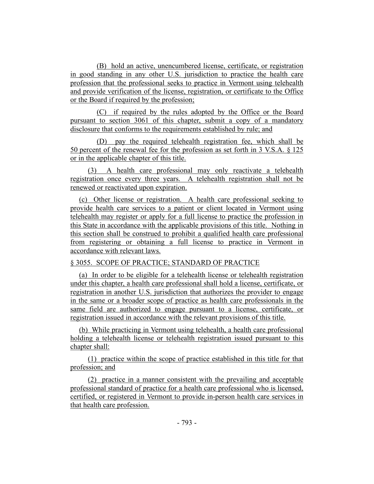(B) hold an active, unencumbered license, certificate, or registration in good standing in any other U.S. jurisdiction to practice the health care profession that the professional seeks to practice in Vermont using telehealth and provide verification of the license, registration, or certificate to the Office or the Board if required by the profession;

(C) if required by the rules adopted by the Office or the Board pursuant to section 3061 of this chapter, submit a copy of a mandatory disclosure that conforms to the requirements established by rule; and

(D) pay the required telehealth registration fee, which shall be 50 percent of the renewal fee for the profession as set forth in 3 V.S.A. § 125 or in the applicable chapter of this title.

(3) A health care professional may only reactivate a telehealth registration once every three years. A telehealth registration shall not be renewed or reactivated upon expiration.

(c) Other license or registration. A health care professional seeking to provide health care services to a patient or client located in Vermont using telehealth may register or apply for a full license to practice the profession in this State in accordance with the applicable provisions of this title. Nothing in this section shall be construed to prohibit a qualified health care professional from registering or obtaining a full license to practice in Vermont in accordance with relevant laws.

# § 3055. SCOPE OF PRACTICE; STANDARD OF PRACTICE

(a) In order to be eligible for a telehealth license or telehealth registration under this chapter, a health care professional shall hold a license, certificate, or registration in another U.S. jurisdiction that authorizes the provider to engage in the same or a broader scope of practice as health care professionals in the same field are authorized to engage pursuant to a license, certificate, or registration issued in accordance with the relevant provisions of this title.

(b) While practicing in Vermont using telehealth, a health care professional holding a telehealth license or telehealth registration issued pursuant to this chapter shall:

(1) practice within the scope of practice established in this title for that profession; and

(2) practice in a manner consistent with the prevailing and acceptable professional standard of practice for a health care professional who is licensed, certified, or registered in Vermont to provide in-person health care services in that health care profession.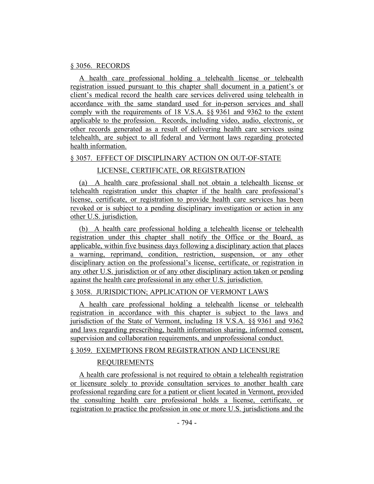#### § 3056. RECORDS

A health care professional holding a telehealth license or telehealth registration issued pursuant to this chapter shall document in a patient's or client's medical record the health care services delivered using telehealth in accordance with the same standard used for in-person services and shall comply with the requirements of 18 V.S.A. §§ 9361 and 9362 to the extent applicable to the profession. Records, including video, audio, electronic, or other records generated as a result of delivering health care services using telehealth, are subject to all federal and Vermont laws regarding protected health information.

#### § 3057. EFFECT OF DISCIPLINARY ACTION ON OUT-OF-STATE

#### LICENSE, CERTIFICATE, OR REGISTRATION

(a) A health care professional shall not obtain a telehealth license or telehealth registration under this chapter if the health care professional's license, certificate, or registration to provide health care services has been revoked or is subject to a pending disciplinary investigation or action in any other U.S. jurisdiction.

(b) A health care professional holding a telehealth license or telehealth registration under this chapter shall notify the Office or the Board, as applicable, within five business days following a disciplinary action that places a warning, reprimand, condition, restriction, suspension, or any other disciplinary action on the professional's license, certificate, or registration in any other U.S. jurisdiction or of any other disciplinary action taken or pending against the health care professional in any other U.S. jurisdiction.

#### § 3058. JURISDICTION; APPLICATION OF VERMONT LAWS

A health care professional holding a telehealth license or telehealth registration in accordance with this chapter is subject to the laws and jurisdiction of the State of Vermont, including 18 V.S.A. §§ 9361 and 9362 and laws regarding prescribing, health information sharing, informed consent, supervision and collaboration requirements, and unprofessional conduct.

#### § 3059. EXEMPTIONS FROM REGISTRATION AND LICENSURE

#### REQUIREMENTS

A health care professional is not required to obtain a telehealth registration or licensure solely to provide consultation services to another health care professional regarding care for a patient or client located in Vermont, provided the consulting health care professional holds a license, certificate, or registration to practice the profession in one or more U.S. jurisdictions and the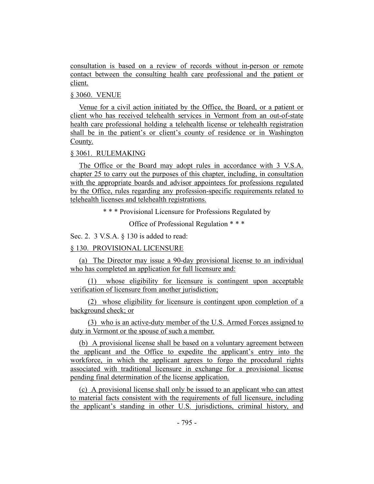consultation is based on a review of records without in-person or remote contact between the consulting health care professional and the patient or client.

#### § 3060. VENUE

Venue for a civil action initiated by the Office, the Board, or a patient or client who has received telehealth services in Vermont from an out-of-state health care professional holding a telehealth license or telehealth registration shall be in the patient's or client's county of residence or in Washington County.

# § 3061. RULEMAKING

The Office or the Board may adopt rules in accordance with 3 V.S.A. chapter 25 to carry out the purposes of this chapter, including, in consultation with the appropriate boards and advisor appointees for professions regulated by the Office, rules regarding any profession-specific requirements related to telehealth licenses and telehealth registrations.

\* \* \* Provisional Licensure for Professions Regulated by

Office of Professional Regulation \* \* \*

Sec. 2. 3 V.S.A. § 130 is added to read:

# § 130. PROVISIONAL LICENSURE

(a) The Director may issue a 90-day provisional license to an individual who has completed an application for full licensure and:

(1) whose eligibility for licensure is contingent upon acceptable verification of licensure from another jurisdiction;

(2) whose eligibility for licensure is contingent upon completion of a background check; or

(3) who is an active-duty member of the U.S. Armed Forces assigned to duty in Vermont or the spouse of such a member.

(b) A provisional license shall be based on a voluntary agreement between the applicant and the Office to expedite the applicant's entry into the workforce, in which the applicant agrees to forgo the procedural rights associated with traditional licensure in exchange for a provisional license pending final determination of the license application.

(c) A provisional license shall only be issued to an applicant who can attest to material facts consistent with the requirements of full licensure, including the applicant's standing in other U.S. jurisdictions, criminal history, and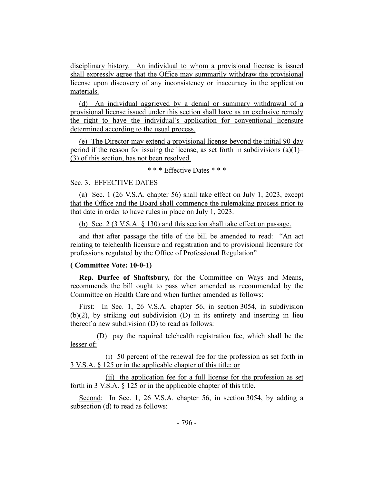disciplinary history. An individual to whom a provisional license is issued shall expressly agree that the Office may summarily withdraw the provisional license upon discovery of any inconsistency or inaccuracy in the application materials.

(d) An individual aggrieved by a denial or summary withdrawal of a provisional license issued under this section shall have as an exclusive remedy the right to have the individual's application for conventional licensure determined according to the usual process.

(e) The Director may extend a provisional license beyond the initial 90-day period if the reason for issuing the license, as set forth in subdivisions  $(a)(1)$ – (3) of this section, has not been resolved.

\* \* \* Effective Dates \* \* \*

#### Sec. 3. EFFECTIVE DATES

(a) Sec. 1 (26 V.S.A. chapter 56) shall take effect on July 1, 2023, except that the Office and the Board shall commence the rulemaking process prior to that date in order to have rules in place on July 1, 2023.

(b) Sec. 2 (3 V.S.A. § 130) and this section shall take effect on passage.

and that after passage the title of the bill be amended to read: "An act relating to telehealth licensure and registration and to provisional licensure for professions regulated by the Office of Professional Regulation"

#### **( Committee Vote: 10-0-1)**

<span id="page-11-0"></span>**Rep. Durfee of Shaftsbury,** for the Committee on Ways and Means**,** recommends the bill ought to pass when amended as recommended by the Committee on Health Care and when further amended as follows:

First: In Sec. 1, 26 V.S.A. chapter 56, in section 3054, in subdivision (b)(2), by striking out subdivision (D) in its entirety and inserting in lieu thereof a new subdivision (D) to read as follows:

(D) pay the required telehealth registration fee, which shall be the lesser of:

(i) 50 percent of the renewal fee for the profession as set forth in 3 V.S.A. § 125 or in the applicable chapter of this title; or

(ii) the application fee for a full license for the profession as set forth in 3 V.S.A. § 125 or in the applicable chapter of this title.

Second: In Sec. 1, 26 V.S.A. chapter 56, in section 3054, by adding a subsection (d) to read as follows: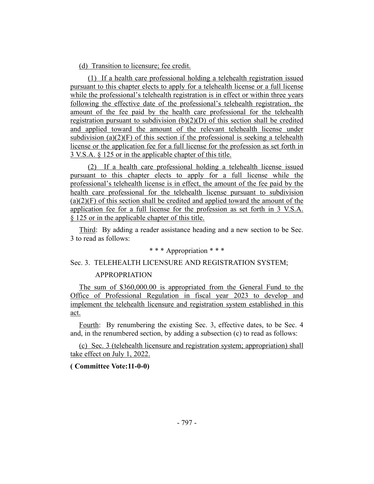(d) Transition to licensure; fee credit.

(1) If a health care professional holding a telehealth registration issued pursuant to this chapter elects to apply for a telehealth license or a full license while the professional's telehealth registration is in effect or within three years following the effective date of the professional's telehealth registration, the amount of the fee paid by the health care professional for the telehealth registration pursuant to subdivision  $(b)(2)(D)$  of this section shall be credited and applied toward the amount of the relevant telehealth license under subdivision (a)(2)(F) of this section if the professional is seeking a telehealth license or the application fee for a full license for the profession as set forth in 3 V.S.A. § 125 or in the applicable chapter of this title.

(2) If a health care professional holding a telehealth license issued pursuant to this chapter elects to apply for a full license while the professional's telehealth license is in effect, the amount of the fee paid by the health care professional for the telehealth license pursuant to subdivision  $(a)(2)(F)$  of this section shall be credited and applied toward the amount of the application fee for a full license for the profession as set forth in 3 V.S.A. § 125 or in the applicable chapter of this title.

Third: By adding a reader assistance heading and a new section to be Sec. 3 to read as follows:

# \* \* \* Appropriation \* \* \*

#### Sec. 3. TELEHEALTH LICENSURE AND REGISTRATION SYSTEM;

#### APPROPRIATION

The sum of \$360,000.00 is appropriated from the General Fund to the Office of Professional Regulation in fiscal year 2023 to develop and implement the telehealth licensure and registration system established in this act.

Fourth: By renumbering the existing Sec. 3, effective dates, to be Sec. 4 and, in the renumbered section, by adding a subsection (c) to read as follows:

(c) Sec. 3 (telehealth licensure and registration system; appropriation) shall take effect on July 1, 2022.

#### **( Committee Vote:11-0-0)**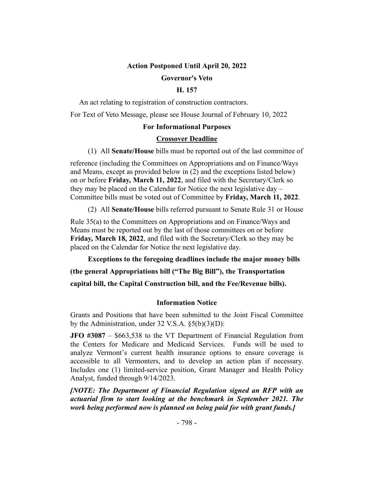# **Action Postponed Until April 20, 2022 Governor's Veto**

#### **H. 157**

<span id="page-13-0"></span>An act relating to registration of construction contractors.

For Text of Veto Message, please see House Journal of February 10, 2022

#### **For Informational Purposes**

#### **Crossover Deadline**

(1) All **Senate/House** bills must be reported out of the last committee of

reference (including the Committees on Appropriations and on Finance/Ways and Means, except as provided below in (2) and the exceptions listed below) on or before **Friday, March 11, 2022**, and filed with the Secretary/Clerk so they may be placed on the Calendar for Notice the next legislative day – Committee bills must be voted out of Committee by **Friday, March 11, 2022**.

(2) All **Senate/House** bills referred pursuant to Senate Rule 31 or House

Rule 35(a) to the Committees on Appropriations and on Finance/Ways and Means must be reported out by the last of those committees on or before **Friday, March 18, 2022**, and filed with the Secretary/Clerk so they may be placed on the Calendar for Notice the next legislative day.

**Exceptions to the foregoing deadlines include the major money bills (the general Appropriations bill ("The Big Bill"), the Transportation capital bill, the Capital Construction bill, and the Fee/Revenue bills).**

#### **Information Notice**

Grants and Positions that have been submitted to the Joint Fiscal Committee by the Administration, under 32 V.S.A. §5(b)(3)(D):

**JFO #3087** – \$663,538 to the VT Department of Financial Regulation from the Centers for Medicare and Medicaid Services. Funds will be used to analyze Vermont's current health insurance options to ensure coverage is accessible to all Vermonters, and to develop an action plan if necessary. Includes one (1) limited-service position, Grant Manager and Health Policy Analyst, funded through 9/14/2023.

*[NOTE: The Department of Financial Regulation signed an RFP with an actuarial firm to start looking at the benchmark in September 2021. The work being performed now is planned on being paid for with grant funds.]*